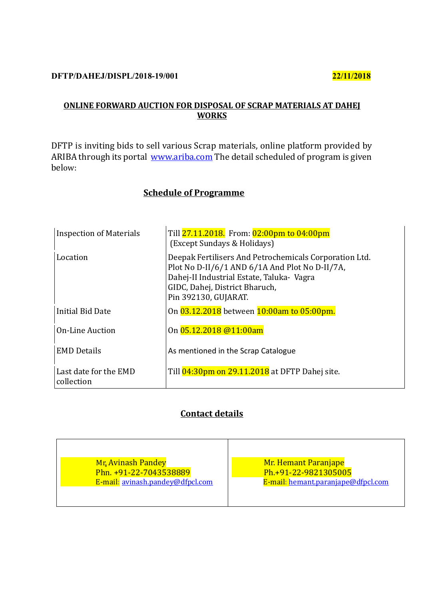#### **DFTP/DAHEJ/DISPL/2018-19/001 22/11/2018**

# **ONLINE FORWARD AUCTION FOR DISPOSAL OF SCRAP MATERIALS AT DAHEJ WORKS**

DFTP is inviting bids to sell various Scrap materials, online platform provided by ARIBA through its portal [www.ariba.com](http://www.ariba.com/) The detail scheduled of program is given below:

# **Schedule of Programme**

| <b>Inspection of Materials</b>      | Till 27.11.2018. From: 02:00pm to 04:00pm<br>(Except Sundays & Holidays)                                                                                                                                        |
|-------------------------------------|-----------------------------------------------------------------------------------------------------------------------------------------------------------------------------------------------------------------|
| Location                            | Deepak Fertilisers And Petrochemicals Corporation Ltd.<br>Plot No D-II/6/1 AND 6/1A And Plot No D-II/7A,<br>Dahej-II Industrial Estate, Taluka- Vagra<br>GIDC, Dahej, District Bharuch,<br>Pin 392130, GUJARAT. |
| Initial Bid Date                    | On 03.12.2018 between 10:00am to 05:00pm.                                                                                                                                                                       |
| <b>On-Line Auction</b>              | On 05.12.2018 @11:00am                                                                                                                                                                                          |
| <b>EMD Details</b>                  | As mentioned in the Scrap Catalogue                                                                                                                                                                             |
| Last date for the EMD<br>collection | Till 04:30pm on 29.11.2018 at DFTP Dahej site.                                                                                                                                                                  |

# **Contact details**

| <b>Mr. Avinash Pandey</b>        | <b>Mr. Hemant Paranjape</b>        |  |  |  |
|----------------------------------|------------------------------------|--|--|--|
| Phn. +91-22-7043538889           | Ph.+91-22-9821305005               |  |  |  |
| E-mail: avinash.pandey@dfpcl.com | E-mail: hemant.paranjape@dfpcl.com |  |  |  |
|                                  |                                    |  |  |  |
|                                  |                                    |  |  |  |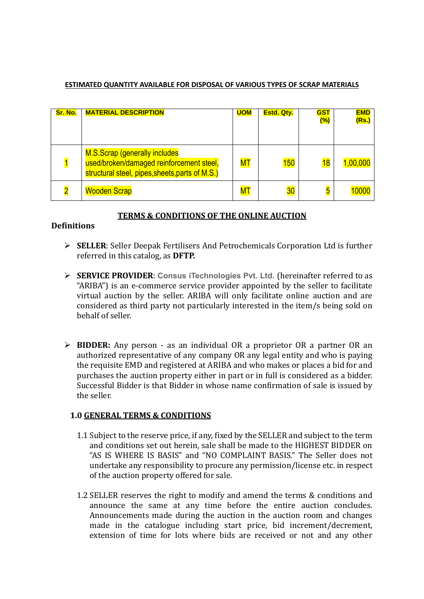#### **ESTIMATED QUANTITY AVAILABLE FOR DISPOSAL OF VARIOUS TYPES OF SCRAP MATERIALS**

| Sr. No. | <b>MATERIAL DESCRIPTION</b>                                                                                                  | <b>UOM</b>     | <b>Estd. Qty.</b> | <b>GST</b><br>$(\%)$    | <b>EMD</b><br>(Rs.) |
|---------|------------------------------------------------------------------------------------------------------------------------------|----------------|-------------------|-------------------------|---------------------|
|         | M.S.Scrap (generally includes<br>used/broken/damaged reinforcement steel,<br>structural steel, pipes, sheets, parts of M.S.) | M <sub>T</sub> | 150               | 18                      | 1,00,000            |
|         | <b>Wooden Scrap</b>                                                                                                          | ${\sf MT}$     | 30                | $\overline{\mathbf{5}}$ | 0000                |

### **TERMS & CONDITIONS OF THE ONLINE AUCTION**

### **Definitions**

- ➢ **SELLER**: Seller Deepak Fertilisers And Petrochemicals Corporation Ltd is further referred in this catalog, as **DFTP.**
- ➢ **SERVICE PROVIDER**: **Consus iTechnologies Pvt. Ltd.** (hereinafter referred to as "ARIBA") is an e-commerce service provider appointed by the seller to facilitate virtual auction by the seller. ARIBA will only facilitate online auction and are considered as third party not particularly interested in the item/s being sold on behalf of seller.
- ➢ **BIDDER:** Any person as an individual OR a proprietor OR a partner OR an authorized representative of any company OR any legal entity and who is paying the requisite EMD and registered at ARIBA and who makes or places a bid for and purchases the auction property either in part or in full is considered as a bidder. Successful Bidder is that Bidder in whose name confirmation of sale is issued by the seller.

### **1.0 GENERAL TERMS & CONDITIONS**

- 1.1 Subject to the reserve price, if any, fixed by the SELLER and subject to the term and conditions set out herein, sale shall be made to the HIGHEST BIDDER on "AS IS WHERE IS BASIS" and "NO COMPLAINT BASIS." The Seller does not undertake any responsibility to procure any permission/license etc. in respect of the auction property offered for sale.
- 1.2 SELLER reserves the right to modify and amend the terms & conditions and announce the same at any time before the entire auction concludes. Announcements made during the auction in the auction room and changes made in the catalogue including start price, bid increment/decrement, extension of time for lots where bids are received or not and any other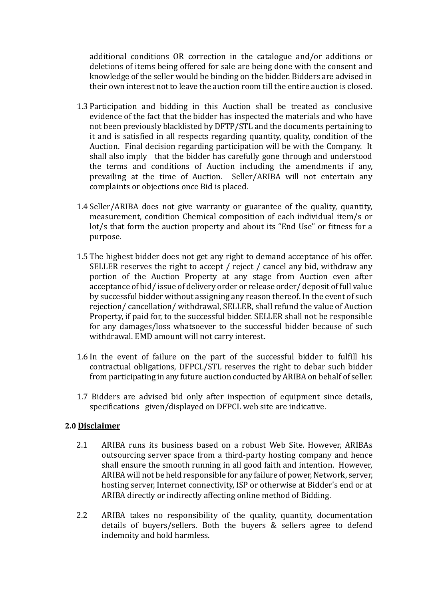additional conditions OR correction in the catalogue and/or additions or deletions of items being offered for sale are being done with the consent and knowledge of the seller would be binding on the bidder. Bidders are advised in their own interest not to leave the auction room till the entire auction is closed.

- 1.3 Participation and bidding in this Auction shall be treated as conclusive evidence of the fact that the bidder has inspected the materials and who have not been previously blacklisted by DFTP/STL and the documents pertaining to it and is satisfied in all respects regarding quantity, quality, condition of the Auction. Final decision regarding participation will be with the Company. It shall also imply that the bidder has carefully gone through and understood the terms and conditions of Auction including the amendments if any, prevailing at the time of Auction. Seller/ARIBA will not entertain any complaints or objections once Bid is placed.
- 1.4 Seller/ARIBA does not give warranty or guarantee of the quality, quantity, measurement, condition Chemical composition of each individual item/s or lot/s that form the auction property and about its "End Use" or fitness for a purpose.
- 1.5 The highest bidder does not get any right to demand acceptance of his offer. SELLER reserves the right to accept / reject / cancel any bid, withdraw any portion of the Auction Property at any stage from Auction even after acceptance of bid/ issue of delivery order or release order/ deposit of full value by successful bidder without assigning any reason thereof. In the event of such rejection/ cancellation/ withdrawal, SELLER, shall refund the value of Auction Property, if paid for, to the successful bidder. SELLER shall not be responsible for any damages/loss whatsoever to the successful bidder because of such withdrawal. EMD amount will not carry interest.
- 1.6 In the event of failure on the part of the successful bidder to fulfill his contractual obligations, DFPCL/STL reserves the right to debar such bidder from participating in any future auction conducted by ARIBA on behalf of seller.
- 1.7 Bidders are advised bid only after inspection of equipment since details, specifications given/displayed on DFPCL web site are indicative.

#### **2.0 Disclaimer**

- 2.1 ARIBA runs its business based on a robust Web Site. However, ARIBAs outsourcing server space from a third-party hosting company and hence shall ensure the smooth running in all good faith and intention. However, ARIBA will not be held responsible for any failure of power, Network, server, hosting server, Internet connectivity, ISP or otherwise at Bidder's end or at ARIBA directly or indirectly affecting online method of Bidding.
- 2.2 ARIBA takes no responsibility of the quality, quantity, documentation details of buyers/sellers. Both the buyers & sellers agree to defend indemnity and hold harmless.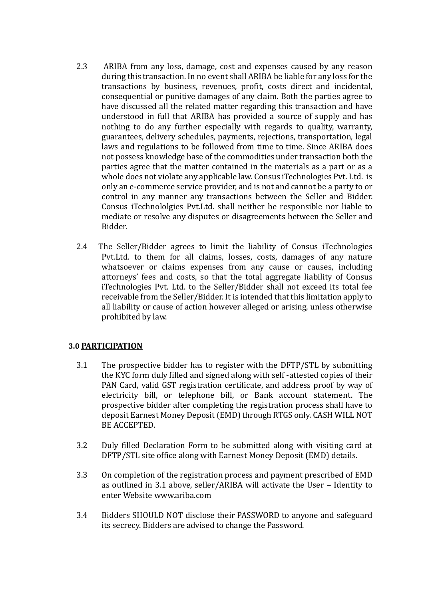- 2.3 ARIBA from any loss, damage, cost and expenses caused by any reason during this transaction. In no event shall ARIBA be liable for any loss for the transactions by business, revenues, profit, costs direct and incidental, consequential or punitive damages of any claim. Both the parties agree to have discussed all the related matter regarding this transaction and have understood in full that ARIBA has provided a source of supply and has nothing to do any further especially with regards to quality, warranty, guarantees, delivery schedules, payments, rejections, transportation, legal laws and regulations to be followed from time to time. Since ARIBA does not possess knowledge base of the commodities under transaction both the parties agree that the matter contained in the materials as a part or as a whole does not violate any applicable law. Consus iTechnologies Pvt. Ltd. is only an e-commerce service provider, and is not and cannot be a party to or control in any manner any transactions between the Seller and Bidder. Consus iTechnololgies Pvt.Ltd. shall neither be responsible nor liable to mediate or resolve any disputes or disagreements between the Seller and Bidder.
- 2.4 The Seller/Bidder agrees to limit the liability of Consus iTechnologies Pvt.Ltd. to them for all claims, losses, costs, damages of any nature whatsoever or claims expenses from any cause or causes, including attorneys' fees and costs, so that the total aggregate liability of Consus iTechnologies Pvt. Ltd. to the Seller/Bidder shall not exceed its total fee receivable from the Seller/Bidder. It is intended that this limitation apply to all liability or cause of action however alleged or arising, unless otherwise prohibited by law.

### **3.0 PARTICIPATION**

- 3.1 The prospective bidder has to register with the DFTP/STL by submitting the KYC form duly filled and signed along with self -attested copies of their PAN Card, valid GST registration certificate, and address proof by way of electricity bill, or telephone bill, or Bank account statement. The prospective bidder after completing the registration process shall have to deposit Earnest Money Deposit (EMD) through RTGS only. CASH WILL NOT BE ACCEPTED.
- 3.2 Duly filled Declaration Form to be submitted along with visiting card at DFTP/STL site office along with Earnest Money Deposit (EMD) details.
- 3.3 On completion of the registration process and payment prescribed of EMD as outlined in 3.1 above, seller/ARIBA will activate the User – Identity to enter Website www.ariba.com
- 3.4 Bidders SHOULD NOT disclose their PASSWORD to anyone and safeguard its secrecy. Bidders are advised to change the Password.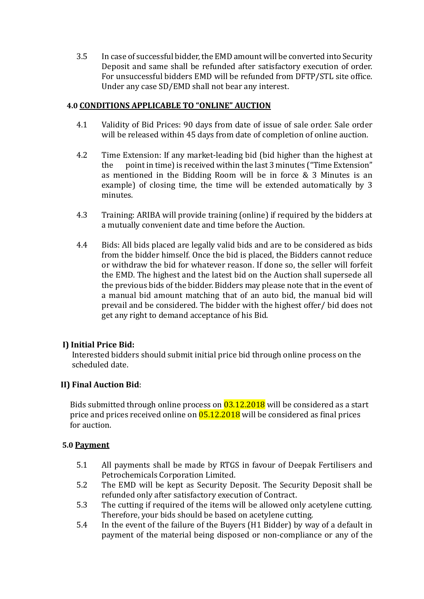3.5 In case of successful bidder, the EMD amount will be converted into Security Deposit and same shall be refunded after satisfactory execution of order. For unsuccessful bidders EMD will be refunded from DFTP/STL site office. Under any case SD/EMD shall not bear any interest.

### **4.0 CONDITIONS APPLICABLE TO "ONLINE" AUCTION**

- 4.1 Validity of Bid Prices: 90 days from date of issue of sale order. Sale order will be released within 45 days from date of completion of online auction.
- 4.2 Time Extension: If any market-leading bid (bid higher than the highest at the point in time) is received within the last 3 minutes ("Time Extension" as mentioned in the Bidding Room will be in force & 3 Minutes is an example) of closing time, the time will be extended automatically by 3 minutes.
- 4.3 Training: ARIBA will provide training (online) if required by the bidders at a mutually convenient date and time before the Auction.
- 4.4 Bids: All bids placed are legally valid bids and are to be considered as bids from the bidder himself. Once the bid is placed, the Bidders cannot reduce or withdraw the bid for whatever reason. If done so, the seller will forfeit the EMD. The highest and the latest bid on the Auction shall supersede all the previous bids of the bidder. Bidders may please note that in the event of a manual bid amount matching that of an auto bid, the manual bid will prevail and be considered. The bidder with the highest offer/ bid does not get any right to demand acceptance of his Bid.

# **I) Initial Price Bid:**

Interested bidders should submit initial price bid through online process on the scheduled date.

# **II) Final Auction Bid**:

Bids submitted through online process on  $\sqrt{03.12.2018}$  will be considered as a start price and prices received online on  $05.12.2018$  will be considered as final prices for auction.

### **5.0 Payment**

- 5.1 All payments shall be made by RTGS in favour of Deepak Fertilisers and Petrochemicals Corporation Limited.
- 5.2 The EMD will be kept as Security Deposit. The Security Deposit shall be refunded only after satisfactory execution of Contract.
- 5.3 The cutting if required of the items will be allowed only acetylene cutting. Therefore, your bids should be based on acetylene cutting.
- 5.4 In the event of the failure of the Buyers (H1 Bidder) by way of a default in payment of the material being disposed or non-compliance or any of the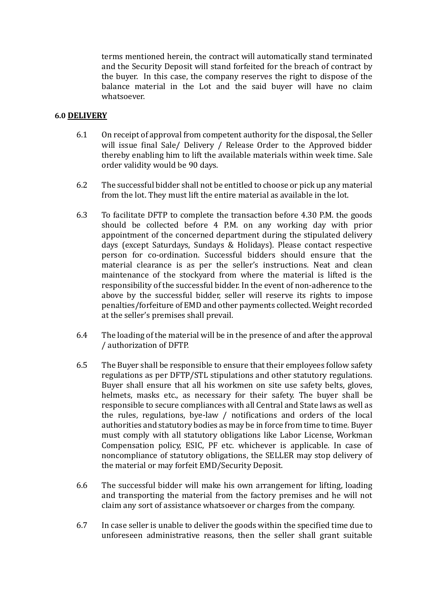terms mentioned herein, the contract will automatically stand terminated and the Security Deposit will stand forfeited for the breach of contract by the buyer. In this case, the company reserves the right to dispose of the balance material in the Lot and the said buyer will have no claim whatsoever.

### **6.0 DELIVERY**

- 6.1 On receipt of approval from competent authority for the disposal, the Seller will issue final Sale/ Delivery / Release Order to the Approved bidder thereby enabling him to lift the available materials within week time. Sale order validity would be 90 days.
- 6.2 The successful bidder shall not be entitled to choose or pick up any material from the lot. They must lift the entire material as available in the lot.
- 6.3 To facilitate DFTP to complete the transaction before 4.30 P.M. the goods should be collected before 4 P.M. on any working day with prior appointment of the concerned department during the stipulated delivery days (except Saturdays, Sundays & Holidays). Please contact respective person for co-ordination. Successful bidders should ensure that the material clearance is as per the seller's instructions. Neat and clean maintenance of the stockyard from where the material is lifted is the responsibility of the successful bidder. In the event of non-adherence to the above by the successful bidder, seller will reserve its rights to impose penalties/forfeiture of EMD and other payments collected. Weight recorded at the seller's premises shall prevail.
- 6.4 The loading of the material will be in the presence of and after the approval / authorization of DFTP.
- 6.5 The Buyer shall be responsible to ensure that their employees follow safety regulations as per DFTP/STL stipulations and other statutory regulations. Buyer shall ensure that all his workmen on site use safety belts, gloves, helmets, masks etc., as necessary for their safety. The buyer shall be responsible to secure compliances with all Central and State laws as well as the rules, regulations, bye-law / notifications and orders of the local authorities and statutory bodies as may be in force from time to time. Buyer must comply with all statutory obligations like Labor License, Workman Compensation policy, ESIC, PF etc. whichever is applicable. In case of noncompliance of statutory obligations, the SELLER may stop delivery of the material or may forfeit EMD/Security Deposit.
- 6.6 The successful bidder will make his own arrangement for lifting, loading and transporting the material from the factory premises and he will not claim any sort of assistance whatsoever or charges from the company.
- 6.7 In case seller is unable to deliver the goods within the specified time due to unforeseen administrative reasons, then the seller shall grant suitable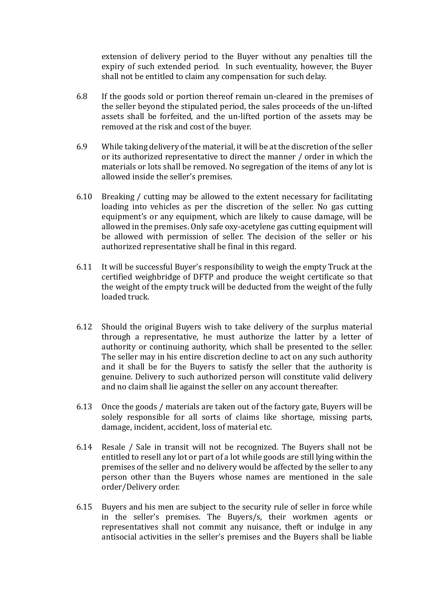extension of delivery period to the Buyer without any penalties till the expiry of such extended period. In such eventuality, however, the Buyer shall not be entitled to claim any compensation for such delay.

- 6.8 If the goods sold or portion thereof remain un-cleared in the premises of the seller beyond the stipulated period, the sales proceeds of the un-lifted assets shall be forfeited, and the un-lifted portion of the assets may be removed at the risk and cost of the buyer.
- 6.9 While taking delivery of the material, it will be at the discretion of the seller or its authorized representative to direct the manner / order in which the materials or lots shall be removed. No segregation of the items of any lot is allowed inside the seller's premises.
- 6.10 Breaking / cutting may be allowed to the extent necessary for facilitating loading into vehicles as per the discretion of the seller. No gas cutting equipment's or any equipment, which are likely to cause damage, will be allowed in the premises. Only safe oxy-acetylene gas cutting equipment will be allowed with permission of seller. The decision of the seller or his authorized representative shall be final in this regard.
- 6.11 It will be successful Buyer's responsibility to weigh the empty Truck at the certified weighbridge of DFTP and produce the weight certificate so that the weight of the empty truck will be deducted from the weight of the fully loaded truck.
- 6.12 Should the original Buyers wish to take delivery of the surplus material through a representative, he must authorize the latter by a letter of authority or continuing authority, which shall be presented to the seller. The seller may in his entire discretion decline to act on any such authority and it shall be for the Buyers to satisfy the seller that the authority is genuine. Delivery to such authorized person will constitute valid delivery and no claim shall lie against the seller on any account thereafter.
- 6.13 Once the goods / materials are taken out of the factory gate, Buyers will be solely responsible for all sorts of claims like shortage, missing parts, damage, incident, accident, loss of material etc.
- 6.14 Resale / Sale in transit will not be recognized. The Buyers shall not be entitled to resell any lot or part of a lot while goods are still lying within the premises of the seller and no delivery would be affected by the seller to any person other than the Buyers whose names are mentioned in the sale order/Delivery order.
- 6.15 Buyers and his men are subject to the security rule of seller in force while in the seller's premises. The Buyers/s, their workmen agents or representatives shall not commit any nuisance, theft or indulge in any antisocial activities in the seller's premises and the Buyers shall be liable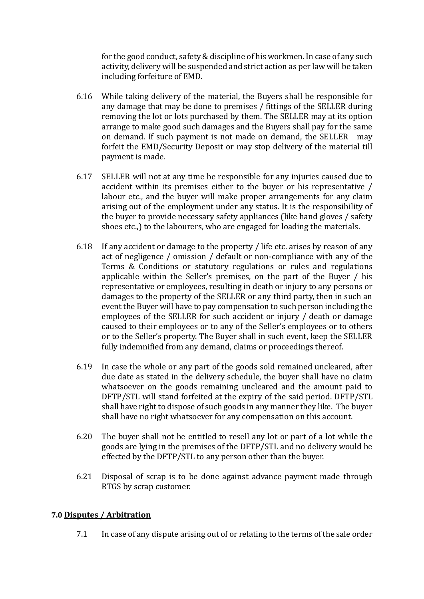for the good conduct, safety & discipline of his workmen. In case of any such activity, delivery will be suspended and strict action as per law will be taken including forfeiture of EMD.

- 6.16 While taking delivery of the material, the Buyers shall be responsible for any damage that may be done to premises / fittings of the SELLER during removing the lot or lots purchased by them. The SELLER may at its option arrange to make good such damages and the Buyers shall pay for the same on demand. If such payment is not made on demand, the SELLER may forfeit the EMD/Security Deposit or may stop delivery of the material till payment is made.
- 6.17 SELLER will not at any time be responsible for any injuries caused due to accident within its premises either to the buyer or his representative / labour etc., and the buyer will make proper arrangements for any claim arising out of the employment under any status. It is the responsibility of the buyer to provide necessary safety appliances (like hand gloves / safety shoes etc.,) to the labourers, who are engaged for loading the materials.
- 6.18 If any accident or damage to the property / life etc. arises by reason of any act of negligence / omission / default or non-compliance with any of the Terms & Conditions or statutory regulations or rules and regulations applicable within the Seller's premises, on the part of the Buyer / his representative or employees, resulting in death or injury to any persons or damages to the property of the SELLER or any third party, then in such an event the Buyer will have to pay compensation to such person including the employees of the SELLER for such accident or injury / death or damage caused to their employees or to any of the Seller's employees or to others or to the Seller's property. The Buyer shall in such event, keep the SELLER fully indemnified from any demand, claims or proceedings thereof.
- 6.19 In case the whole or any part of the goods sold remained uncleared, after due date as stated in the delivery schedule, the buyer shall have no claim whatsoever on the goods remaining uncleared and the amount paid to DFTP/STL will stand forfeited at the expiry of the said period. DFTP/STL shall have right to dispose of such goods in any manner they like. The buyer shall have no right whatsoever for any compensation on this account.
- 6.20 The buyer shall not be entitled to resell any lot or part of a lot while the goods are lying in the premises of the DFTP/STL and no delivery would be effected by the DFTP/STL to any person other than the buyer.
- 6.21 Disposal of scrap is to be done against advance payment made through RTGS by scrap customer.

### **7.0 Disputes / Arbitration**

7.1 In case of any dispute arising out of or relating to the terms of the sale order